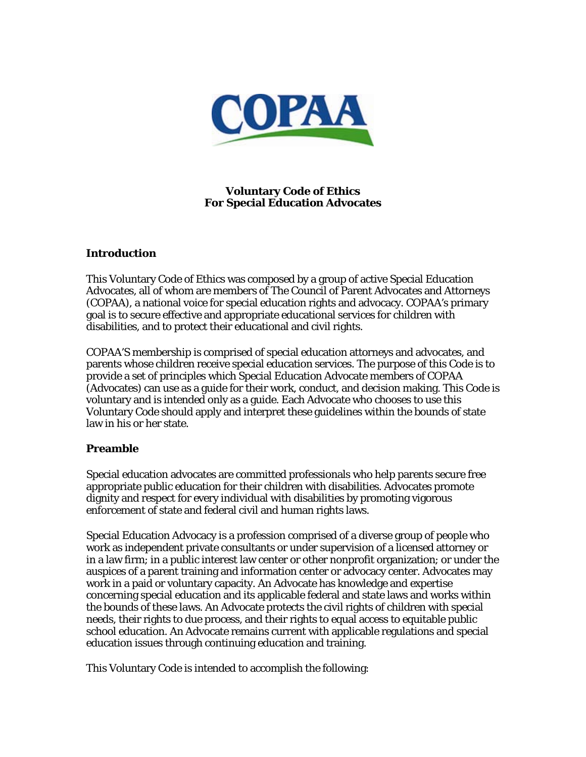

**Voluntary Code of Ethics For Special Education Advocates** 

#### **Introduction**

This Voluntary Code of Ethics was composed by a group of active Special Education Advocates, all of whom are members of The Council of Parent Advocates and Attorneys (COPAA), a national voice for special education rights and advocacy. COPAA's primary goal is to secure effective and appropriate educational services for children with disabilities, and to protect their educational and civil rights.

COPAA'S membership is comprised of special education attorneys and advocates, and parents whose children receive special education services. The purpose of this Code is to provide a set of principles which Special Education Advocate members of COPAA (Advocates) can use as a guide for their work, conduct, and decision making. This Code is voluntary and is intended only as a guide. Each Advocate who chooses to use this Voluntary Code should apply and interpret these guidelines within the bounds of state law in his or her state.

#### **Preamble**

Special education advocates are committed professionals who help parents secure free appropriate public education for their children with disabilities. Advocates promote dignity and respect for every individual with disabilities by promoting vigorous enforcement of state and federal civil and human rights laws.

Special Education Advocacy is a profession comprised of a diverse group of people who work as independent private consultants or under supervision of a licensed attorney or in a law firm; in a public interest law center or other nonprofit organization; or under the auspices of a parent training and information center or advocacy center. Advocates may work in a paid or voluntary capacity. An Advocate has knowledge and expertise concerning special education and its applicable federal and state laws and works within the bounds of these laws. An Advocate protects the civil rights of children with special needs, their rights to due process, and their rights to equal access to equitable public school education. An Advocate remains current with applicable regulations and special education issues through continuing education and training.

This Voluntary Code is intended to accomplish the following: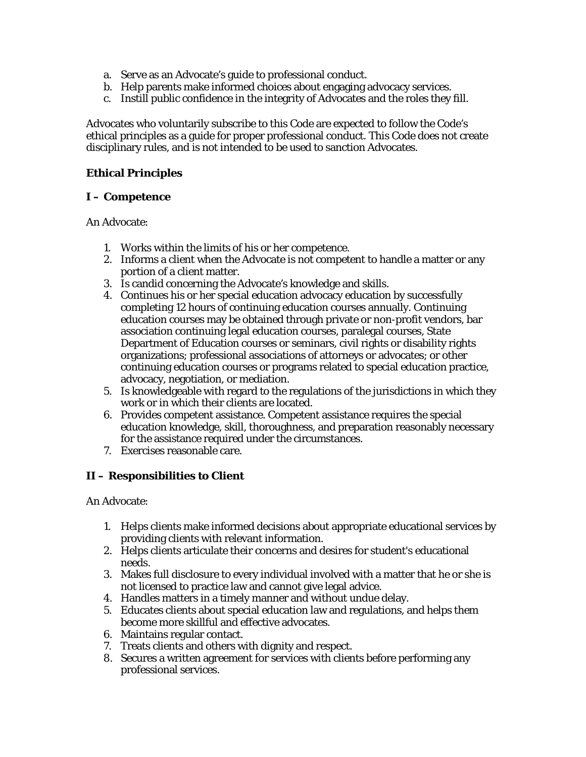- a. Serve as an Advocate's guide to professional conduct.
- b. Help parents make informed choices about engaging advocacy services.
- c. Instill public confidence in the integrity of Advocates and the roles they fill.

Advocates who voluntarily subscribe to this Code are expected to follow the Code's ethical principles as a guide for proper professional conduct. This Code does not create disciplinary rules, and is not intended to be used to sanction Advocates.

### **Ethical Principles**

#### **I – Competence**

An Advocate:

- 1. Works within the limits of his or her competence.
- 2. Informs a client when the Advocate is not competent to handle a matter or any portion of a client matter.
- 3. Is candid concerning the Advocate's knowledge and skills.
- 4. Continues his or her special education advocacy education by successfully completing 12 hours of continuing education courses annually. Continuing education courses may be obtained through private or non-profit vendors, bar association continuing legal education courses, paralegal courses, State Department of Education courses or seminars, civil rights or disability rights organizations; professional associations of attorneys or advocates; or other continuing education courses or programs related to special education practice, advocacy, negotiation, or mediation.
- 5. Is knowledgeable with regard to the regulations of the jurisdictions in which they work or in which their clients are located.
- 6. Provides competent assistance. Competent assistance requires the special education knowledge, skill, thoroughness, and preparation reasonably necessary for the assistance required under the circumstances.
- 7. Exercises reasonable care.

#### **II – Responsibilities to Client**

An Advocate:

- 1. Helps clients make informed decisions about appropriate educational services by providing clients with relevant information.
- 2. Helps clients articulate their concerns and desires for student's educational needs.
- 3. Makes full disclosure to every individual involved with a matter that he or she is not licensed to practice law and cannot give legal advice.
- 4. Handles matters in a timely manner and without undue delay.
- 5. Educates clients about special education law and regulations, and helps them become more skillful and effective advocates.
- 6. Maintains regular contact.
- 7. Treats clients and others with dignity and respect.
- 8. Secures a written agreement for services with clients before performing any professional services.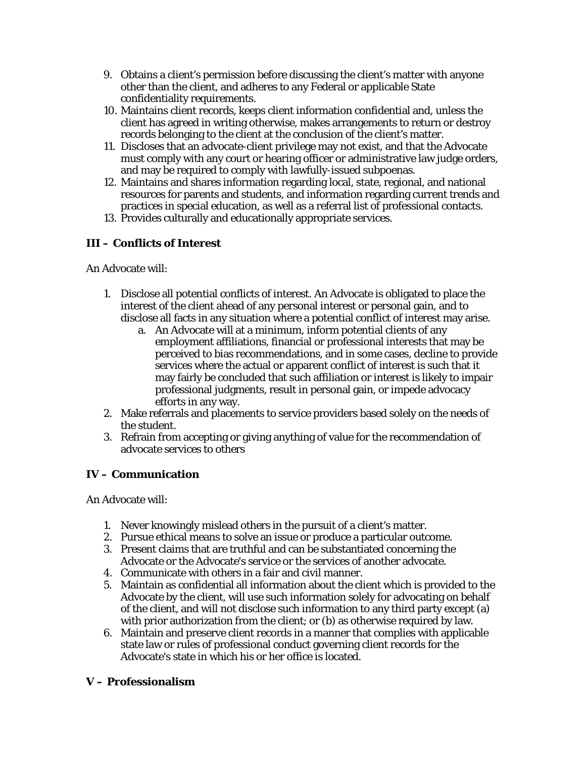- 9. Obtains a client's permission before discussing the client's matter with anyone other than the client, and adheres to any Federal or applicable State confidentiality requirements.
- 10. Maintains client records, keeps client information confidential and, unless the client has agreed in writing otherwise, makes arrangements to return or destroy records belonging to the client at the conclusion of the client's matter.
- 11. Discloses that an advocate-client privilege may not exist, and that the Advocate must comply with any court or hearing officer or administrative law judge orders, and may be required to comply with lawfully-issued subpoenas.
- 12. Maintains and shares information regarding local, state, regional, and national resources for parents and students, and information regarding current trends and practices in special education, as well as a referral list of professional contacts.
- 13. Provides culturally and educationally appropriate services.

# **III – Conflicts of Interest**

An Advocate will:

- 1. Disclose all potential conflicts of interest. An Advocate is obligated to place the interest of the client ahead of any personal interest or personal gain, and to disclose all facts in any situation where a potential conflict of interest may arise.
	- a. An Advocate will at a minimum, inform potential clients of any employment affiliations, financial or professional interests that may be perceived to bias recommendations, and in some cases, decline to provide services where the actual or apparent conflict of interest is such that it may fairly be concluded that such affiliation or interest is likely to impair professional judgments, result in personal gain, or impede advocacy efforts in any way.
- 2. Make referrals and placements to service providers based solely on the needs of the student.
- 3. Refrain from accepting or giving anything of value for the recommendation of advocate services to others

## **IV – Communication**

An Advocate will:

- 1. Never knowingly mislead others in the pursuit of a client's matter.
- 2. Pursue ethical means to solve an issue or produce a particular outcome.
- 3. Present claims that are truthful and can be substantiated concerning the Advocate or the Advocate's service or the services of another advocate.
- 4. Communicate with others in a fair and civil manner.
- 5. Maintain as confidential all information about the client which is provided to the Advocate by the client, will use such information solely for advocating on behalf of the client, and will not disclose such information to any third party except (a) with prior authorization from the client; or (b) as otherwise required by law.
- 6. Maintain and preserve client records in a manner that complies with applicable state law or rules of professional conduct governing client records for the Advocate's state in which his or her office is located.

## **V – Professionalism**